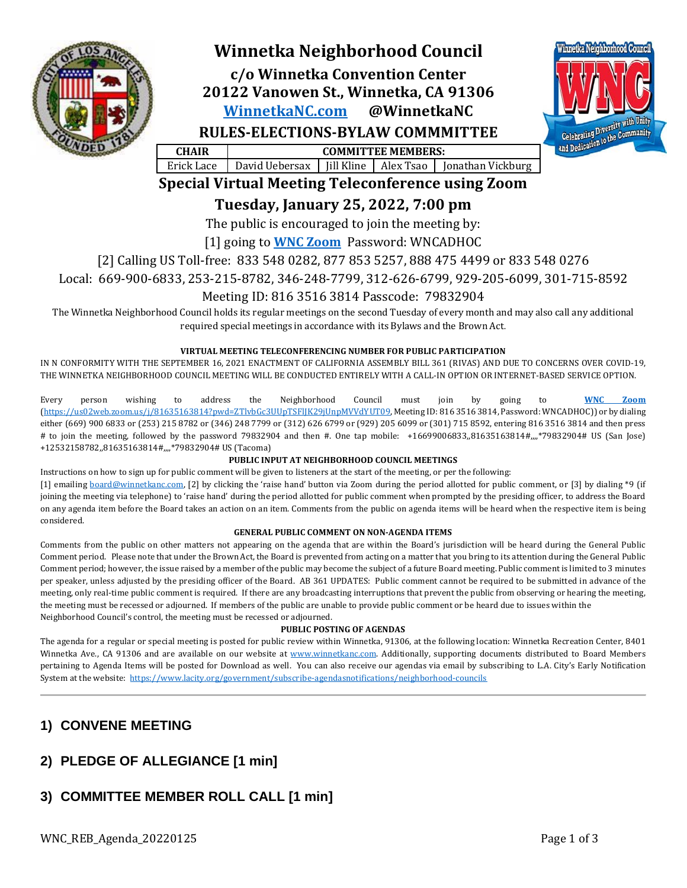

# **Winnetka Neighborhood Council**

**c/o Winnetka Convention Center 20122 Vanowen St., Winnetka, CA 91306 [WinnetkaNC.com](http://www.winnetkanc.com/) @WinnetkaNC RULES-ELECTIONS-BYLAW COMMMITTEE**



**CHAIR COMMITTEE MEMBERS:** Erick Lace | David Uebersax | Jill Kline | Alex Tsao | Jonathan Vickburg

# **Special Virtual Meeting Teleconference using Zoom**

**Tuesday, January 25, 2022, 7:00 pm**

The public is encouraged to join the meeting by:

[1] going to **[WNC Zoom](https://us02web.zoom.us/j/81635163814?pwd=ZTlvbGc3UUpTSFlJK29jUnpMVVdYUT09)** Password: WNCADHOC

[2] Calling US Toll-free: 833 548 0282, 877 853 5257, 888 475 4499 or 833 548 0276

Local: 669-900-6833, 253-215-8782, 346-248-7799, 312-626-6799, 929-205-6099, 301-715-8592

## Meeting ID: 816 3516 3814 Passcode: 79832904

The Winnetka Neighborhood Council holds its regular meetings on the second Tuesday of every month and may also call any additional required special meetings in accordance with its Bylaws and the Brown Act.

### **VIRTUAL MEETING TELECONFERENCING NUMBER FOR PUBLIC PARTICIPATION**

IN N CONFORMITY WITH THE SEPTEMBER 16, 2021 ENACTMENT OF CALIFORNIA ASSEMBLY BILL 361 (RIVAS) AND DUE TO CONCERNS OVER COVID-19, THE WINNETKA NEIGHBORHOOD COUNCIL MEETING WILL BE CONDUCTED ENTIRELY WITH A CALL-IN OPTION OR INTERNET-BASED SERVICE OPTION.

Every person wishing to address the Neighborhood Council must join by going to **[WNC Zoom](https://us02web.zoom.us/j/81635163814?pwd=ZTlvbGc3UUpTSFlJK29jUnpMVVdYUT09)** [\(https://us02web.zoom.us/j/81635163814?pwd=ZTlvbGc3UUpTSFlJK29jUnpMVVdYUT09,](https://us02web.zoom.us/j/81635163814?pwd=ZTlvbGc3UUpTSFlJK29jUnpMVVdYUT09) Meeting ID: 816 3516 3814, Password: WNCADHOC)) or by dialing either (669) 900 6833 or (253) 215 8782 or (346) 248 7799 or (312) 626 6799 or (929) 205 6099 or (301) 715 8592, entering 816 3516 3814 and then press # to join the meeting, followed by the password 79832904 and then #. One tap mobile: +16699006833,,81635163814#,,,,\*79832904# US (San Jose) +12532158782,,81635163814#,,,,\*79832904# US (Tacoma)

### **PUBLIC INPUT AT NEIGHBORHOOD COUNCIL MEETINGS**

Instructions on how to sign up for public comment will be given to listeners at the start of the meeting, or per the following:

[1] emailing [board@winnetkanc.com,](mailto:board@winnetkanc.com) [2] by clicking the 'raise hand' button via Zoom during the period allotted for public comment, or [3] by dialing \*9 (if joining the meeting via telephone) to 'raise hand' during the period allotted for public comment when prompted by the presiding officer, to address the Board on any agenda item before the Board takes an action on an item. Comments from the public on agenda items will be heard when the respective item is being considered.

### **GENERAL PUBLIC COMMENT ON NON-AGENDA ITEMS**

Comments from the public on other matters not appearing on the agenda that are within the Board's jurisdiction will be heard during the General Public Comment period. Please note that under the Brown Act, the Board is prevented from acting on a matter that you bring to its attention during the General Public Comment period; however, the issue raised by a member of the public may become the subject of a future Board meeting. Public comment is limited to 3 minutes per speaker, unless adjusted by the presiding officer of the Board. AB 361 UPDATES: Public comment cannot be required to be submitted in advance of the meeting, only real-time public comment is required. If there are any broadcasting interruptions that prevent the public from observing or hearing the meeting, the meeting must be recessed or adjourned. If members of the public are unable to provide public comment or be heard due to issues within the Neighborhood Council's control, the meeting must be recessed or adjourned.

### **PUBLIC POSTING OF AGENDAS**

The agenda for a regular or special meeting is posted for public review within Winnetka, 91306, at the following location: Winnetka Recreation Center, 8401 Winnetka Ave., CA 91306 and are available on our website at [www.winnetkanc.com.](file://UUEBERBASE/Users/uuebmeister/Documents/Community/Winnetka%20Neighborhood%20Council/WNC%20Board%20Agendas%20and%20Minutes/www.winnetkanc.com) Additionally, supporting documents distributed to Board Members pertaining to Agenda Items will be posted for Download as well. You can also receive our agendas via email by subscribing to L.A. City's Early Notification System at the website:<https://www.lacity.org/government/subscribe-agendasnotifications/neighborhood-councils>

## **1) CONVENE MEETING**

## **2) PLEDGE OF ALLEGIANCE [1 min]**

## **3) COMMITTEE MEMBER ROLL CALL [1 min]**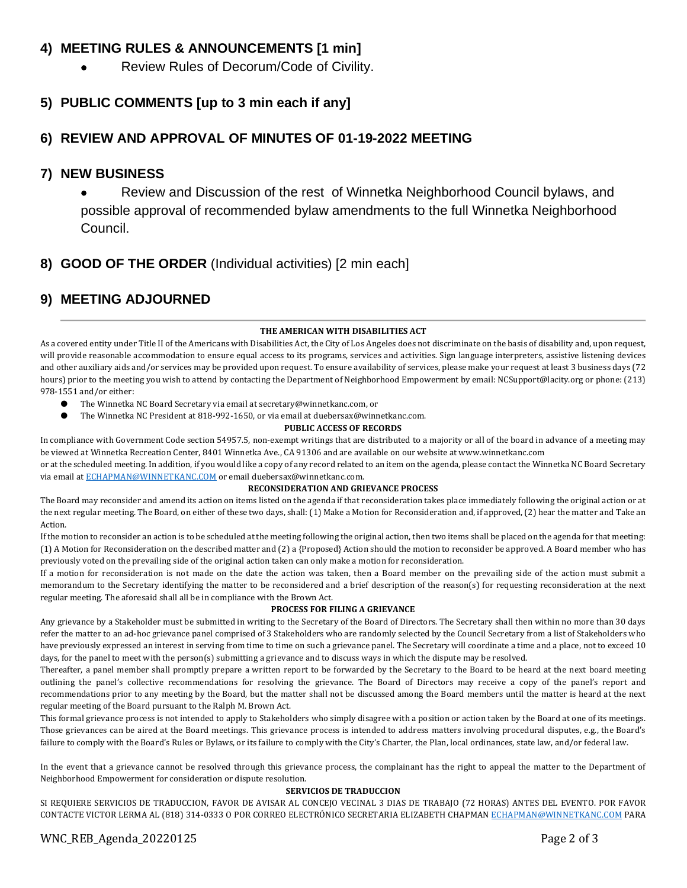## **4) MEETING RULES & ANNOUNCEMENTS [1 min]**

• Review Rules of Decorum/Code of Civility.

## **5) PUBLIC COMMENTS [up to 3 min each if any]**

## **6) REVIEW AND APPROVAL OF MINUTES OF 01-19-2022 MEETING**

### **7) NEW BUSINESS**

• Review and Discussion of the rest of Winnetka Neighborhood Council bylaws, and possible approval of recommended bylaw amendments to the full Winnetka Neighborhood Council.

## **8) GOOD OF THE ORDER** (Individual activities) [2 min each]

## **9) MEETING ADJOURNED**

### **THE AMERICAN WITH DISABILITIES ACT**

As a covered entity under Title II of the Americans with Disabilities Act, the City of Los Angeles does not discriminate on the basis of disability and, upon request, will provide reasonable accommodation to ensure equal access to its programs, services and activities. Sign language interpreters, assistive listening devices and other auxiliary aids and/or services may be provided upon request. To ensure availability of services, please make your request at least 3 business days (72 hours) prior to the meeting you wish to attend by contacting the Department of Neighborhood Empowerment by email: NCSupport@lacity.org or phone: (213) 978-1551 and/or either:

- The Winnetka NC Board Secretary via email at secretary@winnetkanc.com, or
- The Winnetka NC President at 818-992-1650, or via email at duebersax@winnetkanc.com.

#### **PUBLIC ACCESS OF RECORDS**

In compliance with Government Code section 54957.5, non-exempt writings that are distributed to a majority or all of the board in advance of a meeting may be viewed at Winnetka Recreation Center, 8401 Winnetka Ave., CA 91306 and are available on our website at www.winnetkanc.com

or at the scheduled meeting. In addition, if you would like a copy of any record related to an item on the agenda, please contact the Winnetka NC Board Secretary via email at [ECHAPMAN@WINNETKANC.COM](mailto:ECHAPMAN@WINNETKANC.COM) or email duebersax@winnetkanc.com.

### **RECONSIDERATION AND GRIEVANCE PROCESS**

The Board may reconsider and amend its action on items listed on the agenda if that reconsideration takes place immediately following the original action or at the next regular meeting. The Board, on either of these two days, shall: (1) Make a Motion for Reconsideration and, if approved, (2) hear the matter and Take an Action.

If the motion to reconsider an action is to be scheduled at the meeting following the original action, then two items shall be placed on the agenda for that meeting: (1) A Motion for Reconsideration on the described matter and (2) a {Proposed} Action should the motion to reconsider be approved. A Board member who has previously voted on the prevailing side of the original action taken can only make a motion for reconsideration.

If a motion for reconsideration is not made on the date the action was taken, then a Board member on the prevailing side of the action must submit a memorandum to the Secretary identifying the matter to be reconsidered and a brief description of the reason(s) for requesting reconsideration at the next regular meeting. The aforesaid shall all be in compliance with the Brown Act.

### **PROCESS FOR FILING A GRIEVANCE**

Any grievance by a Stakeholder must be submitted in writing to the Secretary of the Board of Directors. The Secretary shall then within no more than 30 days refer the matter to an ad-hoc grievance panel comprised of 3 Stakeholders who are randomly selected by the Council Secretary from a list of Stakeholders who have previously expressed an interest in serving from time to time on such a grievance panel. The Secretary will coordinate a time and a place, not to exceed 10 days, for the panel to meet with the person(s) submitting a grievance and to discuss ways in which the dispute may be resolved.

Thereafter, a panel member shall promptly prepare a written report to be forwarded by the Secretary to the Board to be heard at the next board meeting outlining the panel's collective recommendations for resolving the grievance. The Board of Directors may receive a copy of the panel's report and recommendations prior to any meeting by the Board, but the matter shall not be discussed among the Board members until the matter is heard at the next regular meeting of the Board pursuant to the Ralph M. Brown Act.

This formal grievance process is not intended to apply to Stakeholders who simply disagree with a position or action taken by the Board at one of its meetings. Those grievances can be aired at the Board meetings. This grievance process is intended to address matters involving procedural disputes, e.g., the Board's failure to comply with the Board's Rules or Bylaws, or its failure to comply with the City's Charter, the Plan, local ordinances, state law, and/or federal law.

In the event that a grievance cannot be resolved through this grievance process, the complainant has the right to appeal the matter to the Department of Neighborhood Empowerment for consideration or dispute resolution.

#### **SERVICIOS DE TRADUCCION**

SI REQUIERE SERVICIOS DE TRADUCCION, FAVOR DE AVISAR AL CONCEJO VECINAL 3 DIAS DE TRABAJO (72 HORAS) ANTES DEL EVENTO. POR FAVOR CONTACTE VICTOR LERMA AL (818) 314-0333 O POR CORREO ELECTRÓNICO SECRETARIA ELIZABETH CHAPMA[N ECHAPMAN@WINNETKANC.COM](mailto:ECHAPMAN@WINNETKANC.com) PARA

## WNC\_REB\_Agenda\_20220125 Page 2 of 3